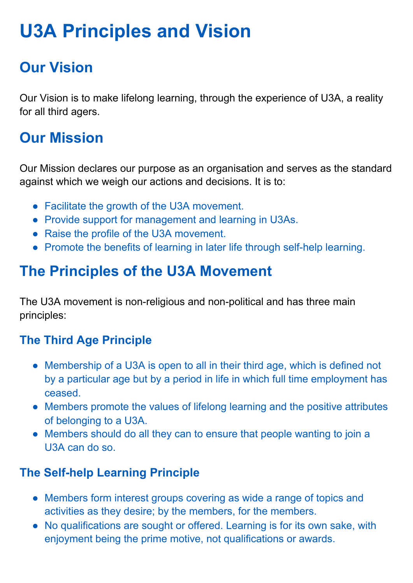# **U3A Principles and Vision**

## **Our Vision**

Our Vision is to make lifelong learning, through the experience of U3A, a reality for all third agers.

## **Our Mission**

Our Mission declares our purpose as an organisation and serves as the standard against which we weigh our actions and decisions. It is to:

- Facilitate the growth of the U3A movement.
- Provide support for management and learning in U3As.
- Raise the profile of the U3A movement.
- Promote the benefits of learning in later life through self-help learning.

## **The Principles of the U3A Movement**

The U3A movement is non-religious and non-political and has three main principles:

### **The Third Age Principle**

- Membership of a U3A is open to all in their third age, which is defined not by a particular age but by a period in life in which full time employment has ceased.
- Members promote the values of lifelong learning and the positive attributes of belonging to a U3A.
- Members should do all they can to ensure that people wanting to join a U3A can do so.

### **The Self-help Learning Principle**

- Members form interest groups covering as wide a range of topics and activities as they desire; by the members, for the members.
- No qualifications are sought or offered. Learning is for its own sake, with enjoyment being the prime motive, not qualifications or awards.